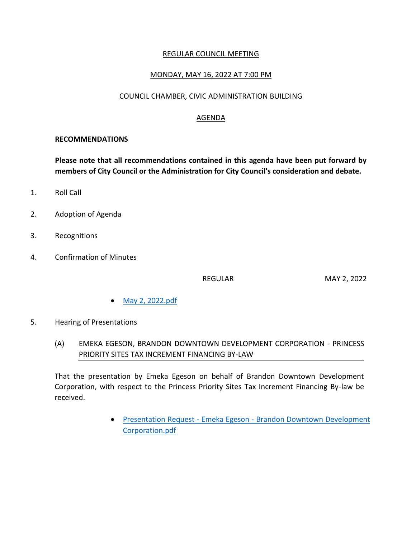### REGULAR COUNCIL MEETING

### MONDAY, MAY 16, 2022 AT 7:00 PM

#### COUNCIL CHAMBER, CIVIC ADMINISTRATION BUILDING

### AGENDA

#### **RECOMMENDATIONS**

**Please note that all recommendations contained in this agenda have been put forward by members of City Council or the Administration for City Council's consideration and debate.**

- 1. Roll Call
- 2. Adoption of Agenda
- 3. Recognitions
- 4. Confirmation of Minutes

REGULAR MAY 2, 2022

- [May 2, 2022.pdf](https://paperlesscouncil.brandon.ca/attachments/A_2022/COM_GRHMBDDPOWTMZXNTKWBDYASSEKWLFUWVBGJXPPJGZRMRQAXQNWQ_May%202,%202022.pdf)
- 5. Hearing of Presentations
	- (A) EMEKA EGESON, BRANDON DOWNTOWN DEVELOPMENT CORPORATION PRINCESS PRIORITY SITES TAX INCREMENT FINANCING BY-LAW

That the presentation by Emeka Egeson on behalf of Brandon Downtown Development Corporation, with respect to the Princess Priority Sites Tax Increment Financing By-law be received.

> Presentation Request - Emeka Egeson - [Brandon Downtown Development](https://paperlesscouncil.brandon.ca/attachments/A_2022/HOP_USIVHCHKGBYVTKHEIHATHFSHLNOXOZHLAMWRROXUHVLOGZZLFPE_Presentation%20Request%20-%20Emeka%20Egeson%20-%20Brandon%20Downtown%20Development%20Corporation.pdf)  [Corporation.pdf](https://paperlesscouncil.brandon.ca/attachments/A_2022/HOP_USIVHCHKGBYVTKHEIHATHFSHLNOXOZHLAMWRROXUHVLOGZZLFPE_Presentation%20Request%20-%20Emeka%20Egeson%20-%20Brandon%20Downtown%20Development%20Corporation.pdf)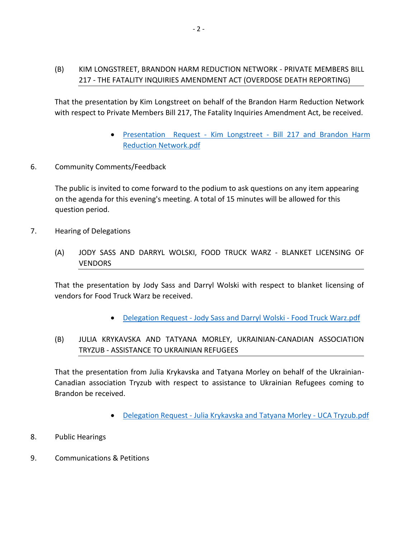## (B) KIM LONGSTREET, BRANDON HARM REDUCTION NETWORK - PRIVATE MEMBERS BILL 217 - THE FATALITY INQUIRIES AMENDMENT ACT (OVERDOSE DEATH REPORTING)

That the presentation by Kim Longstreet on behalf of the Brandon Harm Reduction Network with respect to Private Members Bill 217, The Fatality Inquiries Amendment Act, be received.

- Presentation Request Kim Longstreet [Bill 217 and Brandon Harm](https://paperlesscouncil.brandon.ca/attachments/A_2022/HOP_EZVITLASUWSZWDCAFBOSDHETTEMECTJUQPAAEKHRKBSJAGMUBAY_Presentation%20%20Request%20-%20Kim%20Longstreet%20-%20Bill%20217%20and%20Brandon%20Harm%20Reduction%20Network.pdf)  [Reduction Network.pdf](https://paperlesscouncil.brandon.ca/attachments/A_2022/HOP_EZVITLASUWSZWDCAFBOSDHETTEMECTJUQPAAEKHRKBSJAGMUBAY_Presentation%20%20Request%20-%20Kim%20Longstreet%20-%20Bill%20217%20and%20Brandon%20Harm%20Reduction%20Network.pdf)
- 6. Community Comments/Feedback

The public is invited to come forward to the podium to ask questions on any item appearing on the agenda for this evening's meeting. A total of 15 minutes will be allowed for this question period.

- 7. Hearing of Delegations
	- (A) JODY SASS AND DARRYL WOLSKI, FOOD TRUCK WARZ BLANKET LICENSING OF VENDORS

That the presentation by Jody Sass and Darryl Wolski with respect to blanket licensing of vendors for Food Truck Warz be received.

- Delegation Request [Jody Sass and Darryl Wolski -](https://paperlesscouncil.brandon.ca/attachments/A_2022/HOD_HQGADIWBQMZDGUDLXCBCAXPBUVDYKHGQSLBTPNLGDJTAMTAMZSV_Delegation%20Request%20-%20Jody%20Sass%20and%20Darryl%20Wolski%20-%20Food%20Truck%20Warz.pdf) Food Truck Warz.pdf
- (B) JULIA KRYKAVSKA AND TATYANA MORLEY, UKRAINIAN-CANADIAN ASSOCIATION TRYZUB - ASSISTANCE TO UKRAINIAN REFUGEES

That the presentation from Julia Krykavska and Tatyana Morley on behalf of the Ukrainian-Canadian association Tryzub with respect to assistance to Ukrainian Refugees coming to Brandon be received.

- Delegation Request [Julia Krykavska and Tatyana Morley -](https://paperlesscouncil.brandon.ca/attachments/A_2022/HOD_OSJOEZGLDVVLYLNQNTMWAHLMVRXBBOPBQESSXLDRYSAMAVWGBYO_Delegation%20Request%20-%20Julia%20Krykavska%20and%20Tatyana%20Morley%20-%20UCA%20Tryzub.pdf) UCA Tryzub.pdf
- 8. Public Hearings
- 9. Communications & Petitions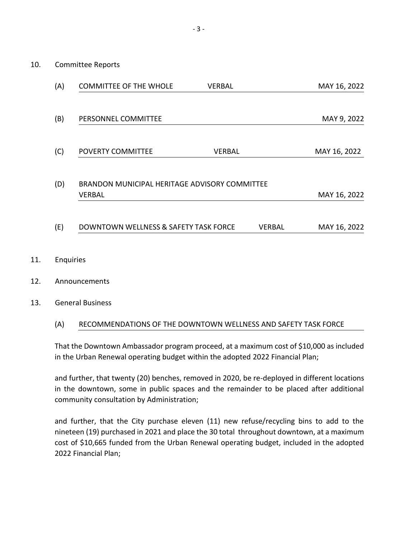| (A) | <b>COMMITTEE OF THE WHOLE</b>                           | <b>VERBAL</b> |        | MAY 16, 2022 |
|-----|---------------------------------------------------------|---------------|--------|--------------|
| (B) | PERSONNEL COMMITTEE                                     |               |        | MAY 9, 2022  |
|     |                                                         |               |        |              |
| (C) | <b>POVERTY COMMITTEE</b>                                | VERBAL        |        | MAY 16, 2022 |
| (D) | BRANDON MUNICIPAL HERITAGE ADVISORY COMMITTEE<br>VERBAL |               |        | MAY 16, 2022 |
| (E) | DOWNTOWN WELLNESS & SAFETY TASK FORCE                   |               | VERBAL | MAY 16, 2022 |

- 11. Enquiries
- 12. Announcements
- 13. General Business

#### (A) RECOMMENDATIONS OF THE DOWNTOWN WELLNESS AND SAFETY TASK FORCE

That the Downtown Ambassador program proceed, at a maximum cost of \$10,000 as included in the Urban Renewal operating budget within the adopted 2022 Financial Plan;

and further, that twenty (20) benches, removed in 2020, be re-deployed in different locations in the downtown, some in public spaces and the remainder to be placed after additional community consultation by Administration;

and further, that the City purchase eleven (11) new refuse/recycling bins to add to the nineteen (19) purchased in 2021 and place the 30 total throughout downtown, at a maximum cost of \$10,665 funded from the Urban Renewal operating budget, included in the adopted 2022 Financial Plan;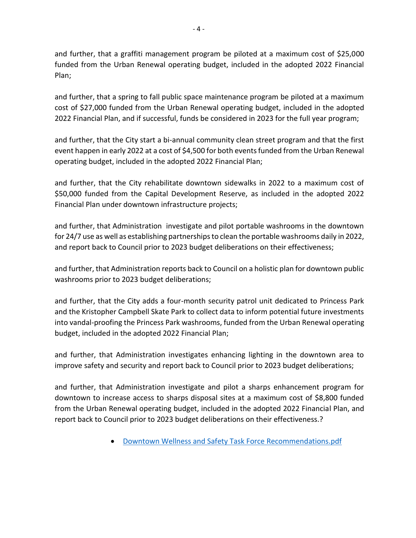and further, that a graffiti management program be piloted at a maximum cost of \$25,000 funded from the Urban Renewal operating budget, included in the adopted 2022 Financial Plan;

and further, that a spring to fall public space maintenance program be piloted at a maximum cost of \$27,000 funded from the Urban Renewal operating budget, included in the adopted 2022 Financial Plan, and if successful, funds be considered in 2023 for the full year program;

and further, that the City start a bi-annual community clean street program and that the first event happen in early 2022 at a cost of \$4,500 for both events funded from the Urban Renewal operating budget, included in the adopted 2022 Financial Plan;

and further, that the City rehabilitate downtown sidewalks in 2022 to a maximum cost of \$50,000 funded from the Capital Development Reserve, as included in the adopted 2022 Financial Plan under downtown infrastructure projects;

and further, that Administration investigate and pilot portable washrooms in the downtown for 24/7 use as well as establishing partnerships to clean the portable washrooms daily in 2022, and report back to Council prior to 2023 budget deliberations on their effectiveness;

and further, that Administration reports back to Council on a holistic plan for downtown public washrooms prior to 2023 budget deliberations;

and further, that the City adds a four-month security patrol unit dedicated to Princess Park and the Kristopher Campbell Skate Park to collect data to inform potential future investments into vandal-proofing the Princess Park washrooms, funded from the Urban Renewal operating budget, included in the adopted 2022 Financial Plan;

and further, that Administration investigates enhancing lighting in the downtown area to improve safety and security and report back to Council prior to 2023 budget deliberations;

and further, that Administration investigate and pilot a sharps enhancement program for downtown to increase access to sharps disposal sites at a maximum cost of \$8,800 funded from the Urban Renewal operating budget, included in the adopted 2022 Financial Plan, and report back to Council prior to 2023 budget deliberations on their effectiveness.?

[Downtown Wellness and Safety Task Force Recommendations.pdf](https://paperlesscouncil.brandon.ca/attachments/A_2022/GEN_PUYGJXWTMWLXEDPGUPSKSJANWYSKMLBJQCZDULPYSZLBIKGMYHS_Downtown%20Wellness%20and%20Safety%20Task%20Force%20Recommendations.pdf)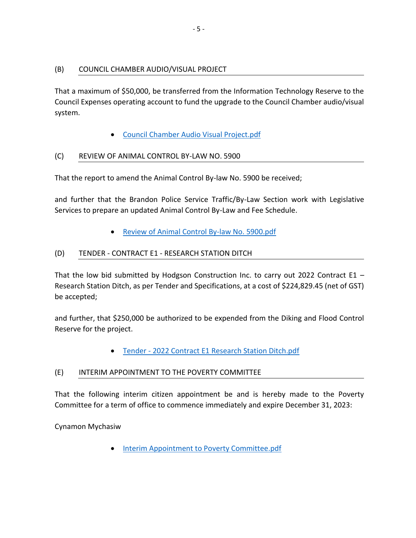### (B) COUNCIL CHAMBER AUDIO/VISUAL PROJECT

That a maximum of \$50,000, be transferred from the Information Technology Reserve to the Council Expenses operating account to fund the upgrade to the Council Chamber audio/visual system.

[Council Chamber Audio Visual Project.pdf](https://paperlesscouncil.brandon.ca/attachments/A_2022/GEN_CWLFMFQYFULVUXRPQGSTGZYQYRAVWQIKPPBOIQWWYOOJVCFQUTS_Council%20Chamber%20Audio%20Visual%20Project.pdf)

#### (C) REVIEW OF ANIMAL CONTROL BY-LAW NO. 5900

That the report to amend the Animal Control By-law No. 5900 be received;

and further that the Brandon Police Service Traffic/By-Law Section work with Legislative Services to prepare an updated Animal Control By-Law and Fee Schedule.

[Review of Animal Control By-law No. 5900.pdf](https://paperlesscouncil.brandon.ca/attachments/A_2022/GEN_XIEVIKDGAYOIAYAVNAGXEISHYLANMEBEYWTNUHFHVYSSUMMOVXE_Review%20of%20Animal%20Control%20By-law%20No.%205900.pdf)

### (D) TENDER - CONTRACT E1 - RESEARCH STATION DITCH

That the low bid submitted by Hodgson Construction Inc. to carry out 2022 Contract E1  $-$ Research Station Ditch, as per Tender and Specifications, at a cost of \$224,829.45 (net of GST) be accepted;

and further, that \$250,000 be authorized to be expended from the Diking and Flood Control Reserve for the project.

Tender - [2022 Contract E1 Research Station Ditch.pdf](https://paperlesscouncil.brandon.ca/attachments/A_2022/GEN_TEJTRNGLQHOPQJCEVIVTIETSLXSGEWBZQCGMLRNPKLDQIAQVTFS_Tender%20-%202022%20Contract%20E1%20Research%20Station%20Ditch.pdf)

### (E) INTERIM APPOINTMENT TO THE POVERTY COMMITTEE

That the following interim citizen appointment be and is hereby made to the Poverty Committee for a term of office to commence immediately and expire December 31, 2023:

Cynamon Mychasiw

[Interim Appointment to Poverty Committee.pdf](https://paperlesscouncil.brandon.ca/attachments/A_2022/GEN_TOXLPJLHIHZPEPKENIRKUQXBLZSMIPJRAFDBAOPNDRTHCGTTHKK_Interim%20Appointment%20to%20Poverty%20Committee.pdf)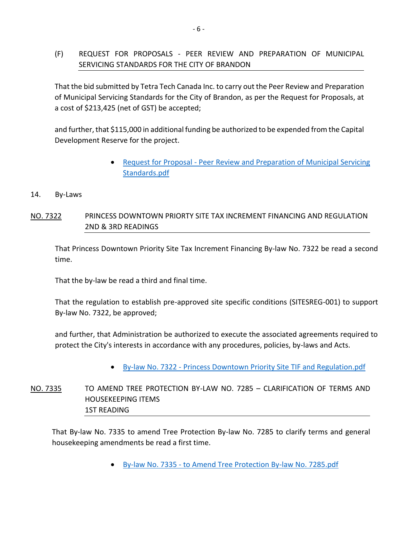## (F) REQUEST FOR PROPOSALS - PEER REVIEW AND PREPARATION OF MUNICIPAL SERVICING STANDARDS FOR THE CITY OF BRANDON

That the bid submitted by Tetra Tech Canada Inc. to carry out the Peer Review and Preparation of Municipal Servicing Standards for the City of Brandon, as per the Request for Proposals, at a cost of \$213,425 (net of GST) be accepted;

and further, that \$115,000 in additional funding be authorized to be expended from the Capital Development Reserve for the project.

- Request for Proposal Peer Review and Preparation of Municipal Servicing [Standards.pdf](https://paperlesscouncil.brandon.ca/attachments/A_2022/GEN_BPPKKJMPRQRPKEGZRZAMJTXAOPPEBPXAWZSIYWIHHOYXGAZKVIW_Request%20for%20Proposal%20-%20Peer%20Review%20and%20Preparation%20of%20Municipal%20Servicing%20Standards.pdf)
- 14. By-Laws

## NO. 7322 PRINCESS DOWNTOWN PRIORTY SITE TAX INCREMENT FINANCING AND REGULATION 2ND & 3RD READINGS

That Princess Downtown Priority Site Tax Increment Financing By-law No. 7322 be read a second time.

That the by-law be read a third and final time.

That the regulation to establish pre-approved site specific conditions (SITESREG-001) to support By-law No. 7322, be approved;

and further, that Administration be authorized to execute the associated agreements required to protect the City's interests in accordance with any procedures, policies, by-laws and Acts.

By-law No. 7322 - [Princess Downtown Priority Site TIF and Regulation.pdf](https://paperlesscouncil.brandon.ca/attachments/A_2022/BYL_GZDBBMLGRWOELHXAPHPSTEKCWFXBUSBZYBRHHRMYQBWJJKHXBBI_By-law%20No.%207322%20-%20Princess%20Downtown%20Priority%20Site%20TIF%20and%20Regulation.pdf)

# NO. 7335 TO AMEND TREE PROTECTION BY-LAW NO. 7285 – CLARIFICATION OF TERMS AND HOUSEKEEPING ITEMS 1ST READING

That By-law No. 7335 to amend Tree Protection By-law No. 7285 to clarify terms and general housekeeping amendments be read a first time.

By-law No. 7335 - [to Amend Tree Protection By-law No. 7285.pdf](https://paperlesscouncil.brandon.ca/attachments/A_2022/BYL_FVGNUTOYSRMQTGGEKIYSSPYWLGBUIAEAUPTEYCNVTINGMPOHLEX_By-law%20No.%207335%20-%20to%20Amend%20Tree%20Protection%20By-law%20No.%207285.pdf)